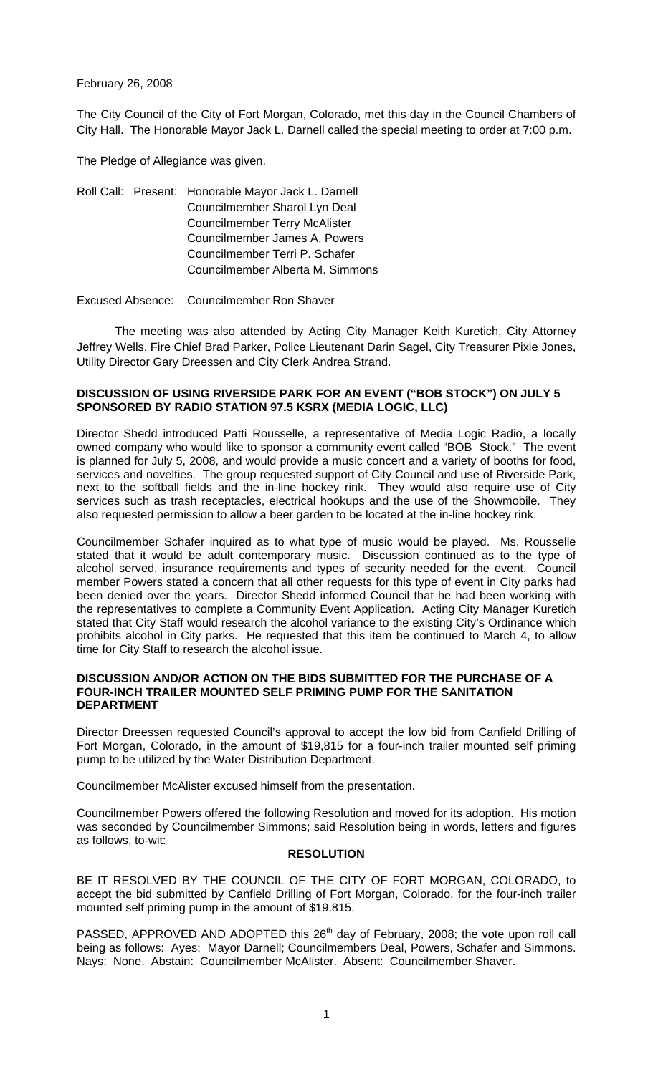February 26, 2008

The City Council of the City of Fort Morgan, Colorado, met this day in the Council Chambers of City Hall. The Honorable Mayor Jack L. Darnell called the special meeting to order at 7:00 p.m.

The Pledge of Allegiance was given.

Roll Call: Present: Honorable Mayor Jack L. Darnell Councilmember Sharol Lyn Deal Councilmember Terry McAlister Councilmember James A. Powers Councilmember Terri P. Schafer Councilmember Alberta M. Simmons

Excused Absence: Councilmember Ron Shaver

 The meeting was also attended by Acting City Manager Keith Kuretich, City Attorney Jeffrey Wells, Fire Chief Brad Parker, Police Lieutenant Darin Sagel, City Treasurer Pixie Jones, Utility Director Gary Dreessen and City Clerk Andrea Strand.

## **DISCUSSION OF USING RIVERSIDE PARK FOR AN EVENT ("BOB STOCK") ON JULY 5 SPONSORED BY RADIO STATION 97.5 KSRX (MEDIA LOGIC, LLC)**

Director Shedd introduced Patti Rousselle, a representative of Media Logic Radio, a locally owned company who would like to sponsor a community event called "BOB Stock." The event is planned for July 5, 2008, and would provide a music concert and a variety of booths for food, services and novelties. The group requested support of City Council and use of Riverside Park, next to the softball fields and the in-line hockey rink. They would also require use of City services such as trash receptacles, electrical hookups and the use of the Showmobile. They also requested permission to allow a beer garden to be located at the in-line hockey rink.

Councilmember Schafer inquired as to what type of music would be played. Ms. Rousselle stated that it would be adult contemporary music. Discussion continued as to the type of alcohol served, insurance requirements and types of security needed for the event. Council member Powers stated a concern that all other requests for this type of event in City parks had been denied over the years. Director Shedd informed Council that he had been working with the representatives to complete a Community Event Application. Acting City Manager Kuretich stated that City Staff would research the alcohol variance to the existing City's Ordinance which prohibits alcohol in City parks. He requested that this item be continued to March 4, to allow time for City Staff to research the alcohol issue.

#### **DISCUSSION AND/OR ACTION ON THE BIDS SUBMITTED FOR THE PURCHASE OF A FOUR-INCH TRAILER MOUNTED SELF PRIMING PUMP FOR THE SANITATION DEPARTMENT**

Director Dreessen requested Council's approval to accept the low bid from Canfield Drilling of Fort Morgan, Colorado, in the amount of \$19,815 for a four-inch trailer mounted self priming pump to be utilized by the Water Distribution Department.

Councilmember McAlister excused himself from the presentation.

Councilmember Powers offered the following Resolution and moved for its adoption. His motion was seconded by Councilmember Simmons; said Resolution being in words, letters and figures as follows, to-wit:

## **RESOLUTION**

BE IT RESOLVED BY THE COUNCIL OF THE CITY OF FORT MORGAN, COLORADO, to accept the bid submitted by Canfield Drilling of Fort Morgan, Colorado, for the four-inch trailer mounted self priming pump in the amount of \$19,815.

PASSED, APPROVED AND ADOPTED this 26<sup>th</sup> day of February, 2008; the vote upon roll call being as follows: Ayes: Mayor Darnell; Councilmembers Deal, Powers, Schafer and Simmons. Nays: None. Abstain: Councilmember McAlister. Absent: Councilmember Shaver.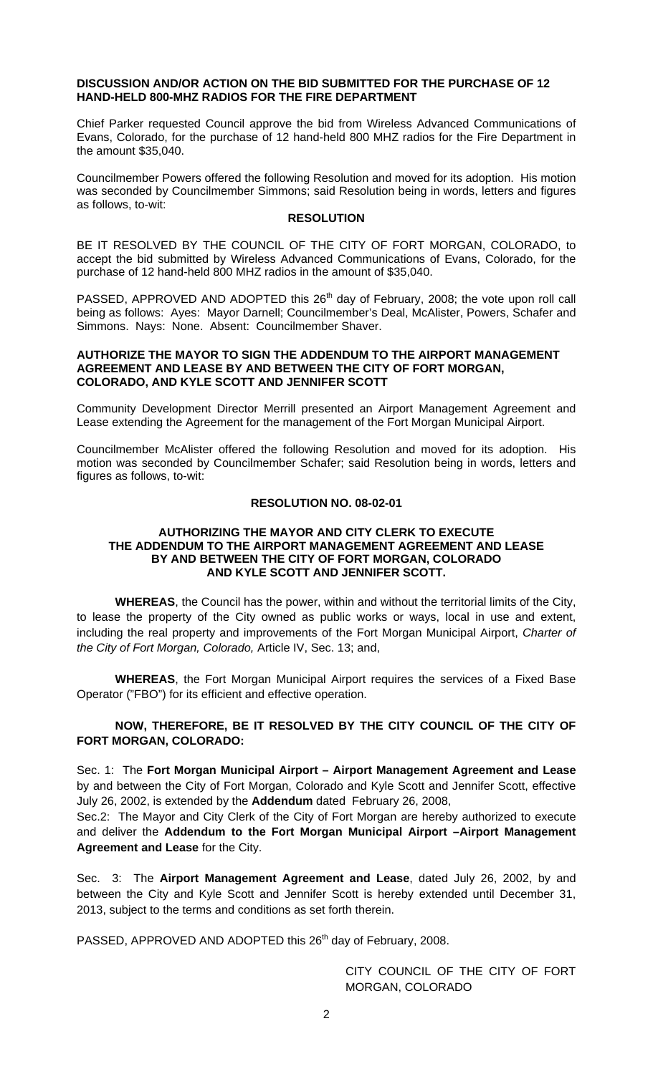#### **DISCUSSION AND/OR ACTION ON THE BID SUBMITTED FOR THE PURCHASE OF 12 HAND-HELD 800-MHZ RADIOS FOR THE FIRE DEPARTMENT**

Chief Parker requested Council approve the bid from Wireless Advanced Communications of Evans, Colorado, for the purchase of 12 hand-held 800 MHZ radios for the Fire Department in the amount \$35,040.

Councilmember Powers offered the following Resolution and moved for its adoption. His motion was seconded by Councilmember Simmons; said Resolution being in words, letters and figures as follows, to-wit:

#### **RESOLUTION**

BE IT RESOLVED BY THE COUNCIL OF THE CITY OF FORT MORGAN, COLORADO, to accept the bid submitted by Wireless Advanced Communications of Evans, Colorado, for the purchase of 12 hand-held 800 MHZ radios in the amount of \$35,040.

PASSED, APPROVED AND ADOPTED this 26<sup>th</sup> day of February, 2008; the vote upon roll call being as follows: Ayes: Mayor Darnell; Councilmember's Deal, McAlister, Powers, Schafer and Simmons. Nays: None. Absent: Councilmember Shaver.

#### **AUTHORIZE THE MAYOR TO SIGN THE ADDENDUM TO THE AIRPORT MANAGEMENT AGREEMENT AND LEASE BY AND BETWEEN THE CITY OF FORT MORGAN, COLORADO, AND KYLE SCOTT AND JENNIFER SCOTT**

Community Development Director Merrill presented an Airport Management Agreement and Lease extending the Agreement for the management of the Fort Morgan Municipal Airport.

Councilmember McAlister offered the following Resolution and moved for its adoption. His motion was seconded by Councilmember Schafer; said Resolution being in words, letters and figures as follows, to-wit:

## **RESOLUTION NO. 08-02-01**

## **AUTHORIZING THE MAYOR AND CITY CLERK TO EXECUTE THE ADDENDUM TO THE AIRPORT MANAGEMENT AGREEMENT AND LEASE BY AND BETWEEN THE CITY OF FORT MORGAN, COLORADO AND KYLE SCOTT AND JENNIFER SCOTT.**

**WHEREAS**, the Council has the power, within and without the territorial limits of the City, to lease the property of the City owned as public works or ways, local in use and extent, including the real property and improvements of the Fort Morgan Municipal Airport, *Charter of the City of Fort Morgan, Colorado,* Article IV, Sec. 13; and,

**WHEREAS**, the Fort Morgan Municipal Airport requires the services of a Fixed Base Operator ("FBO") for its efficient and effective operation.

# **NOW, THEREFORE, BE IT RESOLVED BY THE CITY COUNCIL OF THE CITY OF FORT MORGAN, COLORADO:**

Sec. 1: The **Fort Morgan Municipal Airport – Airport Management Agreement and Lease** by and between the City of Fort Morgan, Colorado and Kyle Scott and Jennifer Scott, effective July 26, 2002, is extended by the **Addendum** dated February 26, 2008,

Sec.2: The Mayor and City Clerk of the City of Fort Morgan are hereby authorized to execute and deliver the **Addendum to the Fort Morgan Municipal Airport –Airport Management Agreement and Lease** for the City.

Sec. 3: The **Airport Management Agreement and Lease**, dated July 26, 2002, by and between the City and Kyle Scott and Jennifer Scott is hereby extended until December 31, 2013, subject to the terms and conditions as set forth therein.

PASSED, APPROVED AND ADOPTED this 26<sup>th</sup> day of February, 2008.

CITY COUNCIL OF THE CITY OF FORT MORGAN, COLORADO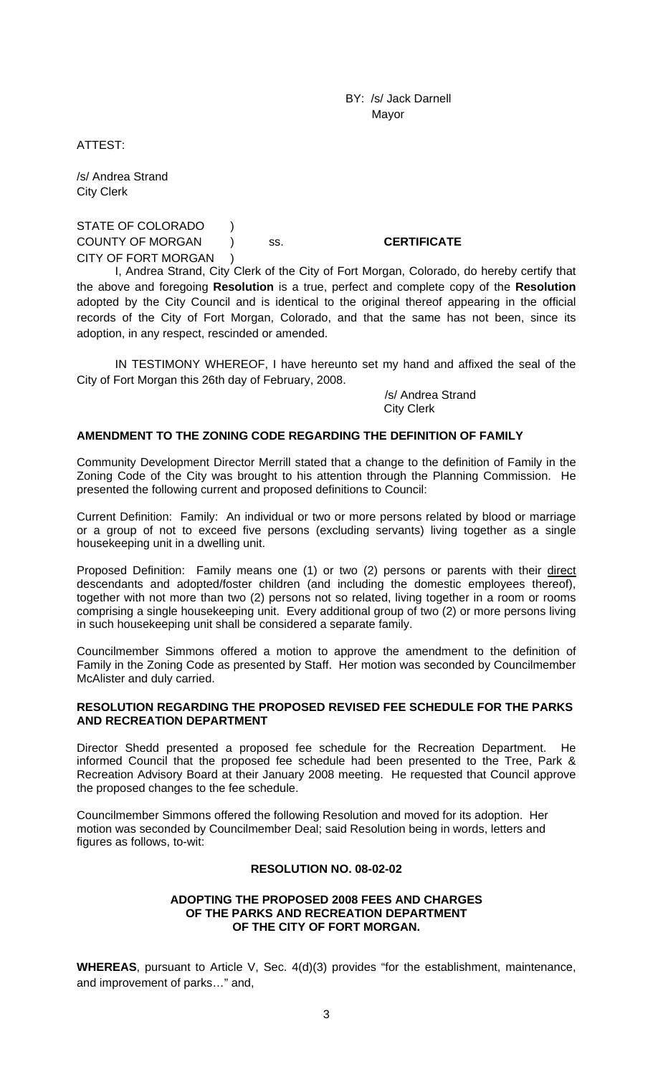BY: /s/ Jack Darnell Mayor

ATTEST:

/s/ Andrea Strand City Clerk

STATE OF COLORADO ) COUNTY OF MORGAN ) ss. **CERTIFICATE** CITY OF FORT MORGAN )

 I, Andrea Strand, City Clerk of the City of Fort Morgan, Colorado, do hereby certify that the above and foregoing **Resolution** is a true, perfect and complete copy of the **Resolution** adopted by the City Council and is identical to the original thereof appearing in the official records of the City of Fort Morgan, Colorado, and that the same has not been, since its adoption, in any respect, rescinded or amended.

 IN TESTIMONY WHEREOF, I have hereunto set my hand and affixed the seal of the City of Fort Morgan this 26th day of February, 2008.

> /s/ Andrea Strand City Clerk

#### **AMENDMENT TO THE ZONING CODE REGARDING THE DEFINITION OF FAMILY**

Community Development Director Merrill stated that a change to the definition of Family in the Zoning Code of the City was brought to his attention through the Planning Commission. He presented the following current and proposed definitions to Council:

Current Definition: Family: An individual or two or more persons related by blood or marriage or a group of not to exceed five persons (excluding servants) living together as a single housekeeping unit in a dwelling unit.

Proposed Definition: Family means one (1) or two (2) persons or parents with their direct descendants and adopted/foster children (and including the domestic employees thereof), together with not more than two (2) persons not so related, living together in a room or rooms comprising a single housekeeping unit. Every additional group of two (2) or more persons living in such housekeeping unit shall be considered a separate family.

Councilmember Simmons offered a motion to approve the amendment to the definition of Family in the Zoning Code as presented by Staff. Her motion was seconded by Councilmember McAlister and duly carried.

## **RESOLUTION REGARDING THE PROPOSED REVISED FEE SCHEDULE FOR THE PARKS AND RECREATION DEPARTMENT**

Director Shedd presented a proposed fee schedule for the Recreation Department. He informed Council that the proposed fee schedule had been presented to the Tree, Park & Recreation Advisory Board at their January 2008 meeting. He requested that Council approve the proposed changes to the fee schedule.

Councilmember Simmons offered the following Resolution and moved for its adoption. Her motion was seconded by Councilmember Deal; said Resolution being in words, letters and figures as follows, to-wit:

## **RESOLUTION NO. 08-02-02**

#### **ADOPTING THE PROPOSED 2008 FEES AND CHARGES OF THE PARKS AND RECREATION DEPARTMENT OF THE CITY OF FORT MORGAN.**

**WHEREAS**, pursuant to Article V, Sec. 4(d)(3) provides "for the establishment, maintenance, and improvement of parks…" and,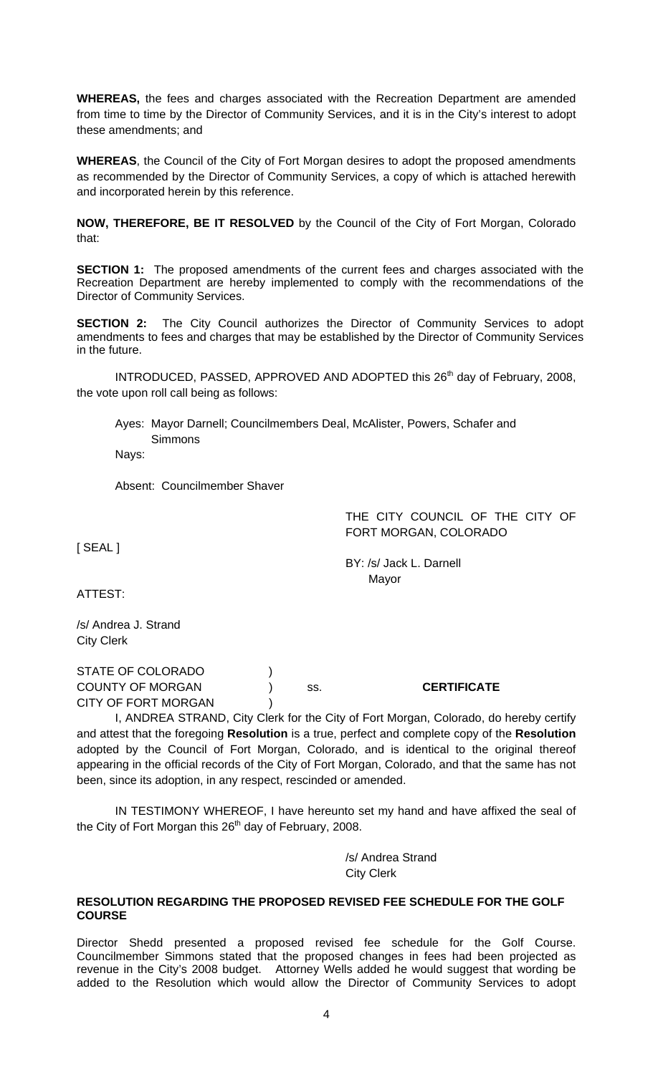**WHEREAS,** the fees and charges associated with the Recreation Department are amended from time to time by the Director of Community Services, and it is in the City's interest to adopt these amendments; and

**WHEREAS**, the Council of the City of Fort Morgan desires to adopt the proposed amendments as recommended by the Director of Community Services, a copy of which is attached herewith and incorporated herein by this reference.

**NOW, THEREFORE, BE IT RESOLVED** by the Council of the City of Fort Morgan, Colorado that:

**SECTION 1:** The proposed amendments of the current fees and charges associated with the Recreation Department are hereby implemented to comply with the recommendations of the Director of Community Services.

**SECTION 2:** The City Council authorizes the Director of Community Services to adopt amendments to fees and charges that may be established by the Director of Community Services in the future.

INTRODUCED, PASSED, APPROVED AND ADOPTED this 26<sup>th</sup> day of February, 2008, the vote upon roll call being as follows:

Ayes: Mayor Darnell; Councilmembers Deal, McAlister, Powers, Schafer and **Simmons** 

Nays:

Absent: Councilmember Shaver

THE CITY COUNCIL OF THE CITY OF FORT MORGAN, COLORADO

[ SEAL ]

 BY: /s/ Jack L. Darnell Mayor

ATTEST:

/s/ Andrea J. Strand City Clerk

STATE OF COLORADO (1) COUNTY OF MORGAN ) ss. **CERTIFICATE** CITY OF FORT MORGAN (1)

I, ANDREA STRAND, City Clerk for the City of Fort Morgan, Colorado, do hereby certify and attest that the foregoing **Resolution** is a true, perfect and complete copy of the **Resolution** adopted by the Council of Fort Morgan, Colorado, and is identical to the original thereof appearing in the official records of the City of Fort Morgan, Colorado, and that the same has not been, since its adoption, in any respect, rescinded or amended.

IN TESTIMONY WHEREOF, I have hereunto set my hand and have affixed the seal of the City of Fort Morgan this  $26<sup>th</sup>$  day of February, 2008.

> /s/ Andrea Strand City Clerk

#### **RESOLUTION REGARDING THE PROPOSED REVISED FEE SCHEDULE FOR THE GOLF COURSE**

Director Shedd presented a proposed revised fee schedule for the Golf Course. Councilmember Simmons stated that the proposed changes in fees had been projected as revenue in the City's 2008 budget. Attorney Wells added he would suggest that wording be added to the Resolution which would allow the Director of Community Services to adopt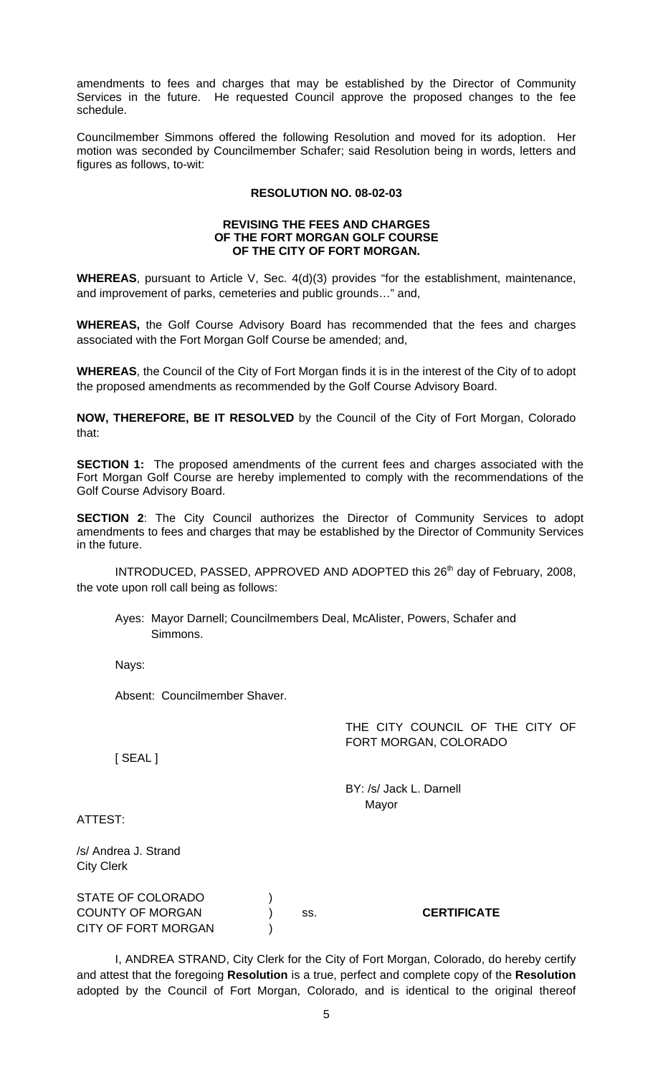amendments to fees and charges that may be established by the Director of Community Services in the future. He requested Council approve the proposed changes to the fee schedule.

Councilmember Simmons offered the following Resolution and moved for its adoption. Her motion was seconded by Councilmember Schafer; said Resolution being in words, letters and figures as follows, to-wit:

## **RESOLUTION NO. 08-02-03**

#### **REVISING THE FEES AND CHARGES OF THE FORT MORGAN GOLF COURSE OF THE CITY OF FORT MORGAN.**

**WHEREAS**, pursuant to Article V, Sec. 4(d)(3) provides "for the establishment, maintenance, and improvement of parks, cemeteries and public grounds…" and,

**WHEREAS,** the Golf Course Advisory Board has recommended that the fees and charges associated with the Fort Morgan Golf Course be amended; and,

**WHEREAS**, the Council of the City of Fort Morgan finds it is in the interest of the City of to adopt the proposed amendments as recommended by the Golf Course Advisory Board.

**NOW, THEREFORE, BE IT RESOLVED** by the Council of the City of Fort Morgan, Colorado that:

**SECTION 1:** The proposed amendments of the current fees and charges associated with the Fort Morgan Golf Course are hereby implemented to comply with the recommendations of the Golf Course Advisory Board.

**SECTION 2**: The City Council authorizes the Director of Community Services to adopt amendments to fees and charges that may be established by the Director of Community Services in the future.

INTRODUCED, PASSED, APPROVED AND ADOPTED this 26<sup>th</sup> day of February, 2008, the vote upon roll call being as follows:

Ayes: Mayor Darnell; Councilmembers Deal, McAlister, Powers, Schafer and Simmons.

Nays:

Absent: Councilmember Shaver.

THE CITY COUNCIL OF THE CITY OF FORT MORGAN, COLORADO

[ SEAL ]

 BY: /s/ Jack L. Darnell Mayor

ATTEST:

/s/ Andrea J. Strand City Clerk

| STATE OF COLORADO          |     |                    |
|----------------------------|-----|--------------------|
| <b>COUNTY OF MORGAN</b>    | SS. | <b>CERTIFICATE</b> |
| <b>CITY OF FORT MORGAN</b> |     |                    |

I, ANDREA STRAND, City Clerk for the City of Fort Morgan, Colorado, do hereby certify and attest that the foregoing **Resolution** is a true, perfect and complete copy of the **Resolution** adopted by the Council of Fort Morgan, Colorado, and is identical to the original thereof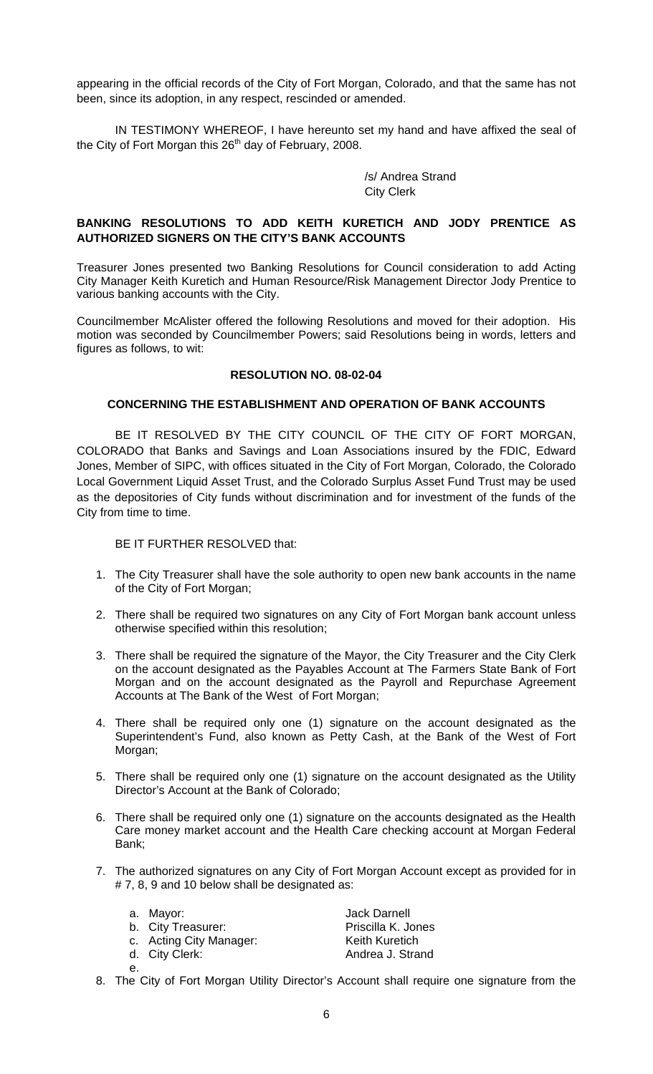appearing in the official records of the City of Fort Morgan, Colorado, and that the same has not been, since its adoption, in any respect, rescinded or amended.

IN TESTIMONY WHEREOF, I have hereunto set my hand and have affixed the seal of the City of Fort Morgan this 26<sup>th</sup> day of February, 2008.

> /s/ Andrea Strand City Clerk

## **BANKING RESOLUTIONS TO ADD KEITH KURETICH AND JODY PRENTICE AS AUTHORIZED SIGNERS ON THE CITY'S BANK ACCOUNTS**

Treasurer Jones presented two Banking Resolutions for Council consideration to add Acting City Manager Keith Kuretich and Human Resource/Risk Management Director Jody Prentice to various banking accounts with the City.

Councilmember McAlister offered the following Resolutions and moved for their adoption. His motion was seconded by Councilmember Powers; said Resolutions being in words, letters and figures as follows, to wit:

## **RESOLUTION NO. 08-02-04**

### **CONCERNING THE ESTABLISHMENT AND OPERATION OF BANK ACCOUNTS**

BE IT RESOLVED BY THE CITY COUNCIL OF THE CITY OF FORT MORGAN, COLORADO that Banks and Savings and Loan Associations insured by the FDIC, Edward Jones, Member of SIPC, with offices situated in the City of Fort Morgan, Colorado, the Colorado Local Government Liquid Asset Trust, and the Colorado Surplus Asset Fund Trust may be used as the depositories of City funds without discrimination and for investment of the funds of the City from time to time.

BE IT FURTHER RESOLVED that:

- 1. The City Treasurer shall have the sole authority to open new bank accounts in the name of the City of Fort Morgan;
- 2. There shall be required two signatures on any City of Fort Morgan bank account unless otherwise specified within this resolution;
- 3. There shall be required the signature of the Mayor, the City Treasurer and the City Clerk on the account designated as the Payables Account at The Farmers State Bank of Fort Morgan and on the account designated as the Payroll and Repurchase Agreement Accounts at The Bank of the West of Fort Morgan;
- 4. There shall be required only one (1) signature on the account designated as the Superintendent's Fund, also known as Petty Cash, at the Bank of the West of Fort Morgan;
- 5. There shall be required only one (1) signature on the account designated as the Utility Director's Account at the Bank of Colorado;
- 6. There shall be required only one (1) signature on the accounts designated as the Health Care money market account and the Health Care checking account at Morgan Federal Bank;
- 7. The authorized signatures on any City of Fort Morgan Account except as provided for in # 7, 8, 9 and 10 below shall be designated as:

|    | a. Mayor:<br>b. City Treasurer:<br>c. Acting City Manager: | Jack Darnell<br>Priscilla K. Jones<br><b>Keith Kuretich</b> |
|----|------------------------------------------------------------|-------------------------------------------------------------|
|    | d. City Clerk:                                             | Andrea J. Strand                                            |
| е. |                                                            |                                                             |

8. The City of Fort Morgan Utility Director's Account shall require one signature from the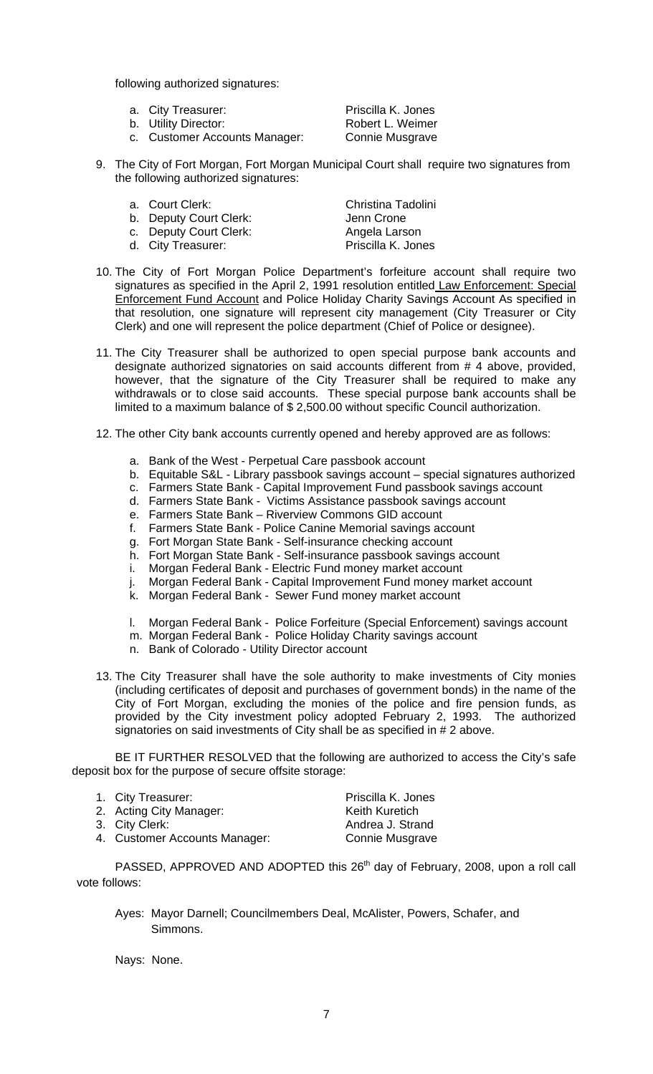following authorized signatures:

| a. City Treasurer:            | Priscilla K. Jones |
|-------------------------------|--------------------|
| b. Utility Director:          | Robert L. Weimer   |
| c. Customer Accounts Manager: | Connie Musgrave    |

- 9. The City of Fort Morgan, Fort Morgan Municipal Court shall require two signatures from the following authorized signatures:
	-
	- b. Deputy Court Clerk: Jenn Crone
	- c. Deputy Court Clerk: Angela Larson
	- d. City Treasurer: Priscilla K. Jones

a. Court Clerk: Christina Tadolini

- 10. The City of Fort Morgan Police Department's forfeiture account shall require two signatures as specified in the April 2, 1991 resolution entitled Law Enforcement: Special Enforcement Fund Account and Police Holiday Charity Savings Account As specified in that resolution, one signature will represent city management (City Treasurer or City Clerk) and one will represent the police department (Chief of Police or designee).
- 11. The City Treasurer shall be authorized to open special purpose bank accounts and designate authorized signatories on said accounts different from # 4 above, provided, however, that the signature of the City Treasurer shall be required to make any withdrawals or to close said accounts. These special purpose bank accounts shall be limited to a maximum balance of \$ 2,500.00 without specific Council authorization.
- 12. The other City bank accounts currently opened and hereby approved are as follows:
	- a. Bank of the West Perpetual Care passbook account
	- b. Equitable S&L Library passbook savings account special signatures authorized
	- c. Farmers State Bank Capital Improvement Fund passbook savings account
	- d. Farmers State Bank Victims Assistance passbook savings account
	- e. Farmers State Bank Riverview Commons GID account
	- f. Farmers State Bank Police Canine Memorial savings account
	- g. Fort Morgan State Bank Self-insurance checking account
	- h. Fort Morgan State Bank Self-insurance passbook savings account
	- i. Morgan Federal Bank Electric Fund money market account
	- j. Morgan Federal Bank Capital Improvement Fund money market account
	- k. Morgan Federal Bank Sewer Fund money market account
	- l. Morgan Federal Bank Police Forfeiture (Special Enforcement) savings account
	- m. Morgan Federal Bank Police Holiday Charity savings account
	- n. Bank of Colorado Utility Director account
- 13. The City Treasurer shall have the sole authority to make investments of City monies (including certificates of deposit and purchases of government bonds) in the name of the City of Fort Morgan, excluding the monies of the police and fire pension funds, as provided by the City investment policy adopted February 2, 1993. The authorized signatories on said investments of City shall be as specified in # 2 above.

BE IT FURTHER RESOLVED that the following are authorized to access the City's safe deposit box for the purpose of secure offsite storage:

| Priscilla K. Jones                                       |
|----------------------------------------------------------|
| Keith Kuretich                                           |
| Andrea J. Strand                                         |
| Connie Musgrave                                          |
| 2. Acting City Manager:<br>4. Customer Accounts Manager: |

PASSED, APPROVED AND ADOPTED this  $26<sup>th</sup>$  day of February, 2008, upon a roll call vote follows:

Ayes: Mayor Darnell; Councilmembers Deal, McAlister, Powers, Schafer, and Simmons.

Nays: None.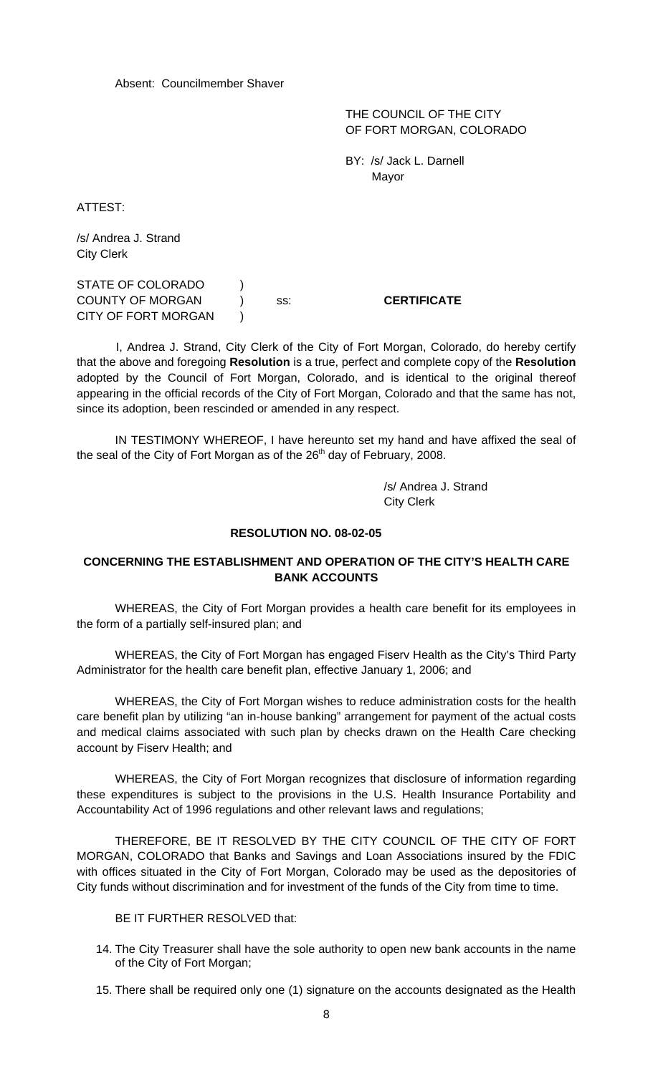Absent: Councilmember Shaver

 THE COUNCIL OF THE CITY OF FORT MORGAN, COLORADO

 BY: /s/ Jack L. Darnell Mayor

ATTEST:

/s/ Andrea J. Strand City Clerk

STATE OF COLORADO ) COUNTY OF MORGAN ) ss: **CERTIFICATE** CITY OF FORT MORGAN )

 I, Andrea J. Strand, City Clerk of the City of Fort Morgan, Colorado, do hereby certify that the above and foregoing **Resolution** is a true, perfect and complete copy of the **Resolution** adopted by the Council of Fort Morgan, Colorado, and is identical to the original thereof appearing in the official records of the City of Fort Morgan, Colorado and that the same has not, since its adoption, been rescinded or amended in any respect.

IN TESTIMONY WHEREOF, I have hereunto set my hand and have affixed the seal of the seal of the City of Fort Morgan as of the  $26<sup>th</sup>$  day of February, 2008.

> /s/ Andrea J. Strand City Clerk

#### **RESOLUTION NO. 08-02-05**

## **CONCERNING THE ESTABLISHMENT AND OPERATION OF THE CITY'S HEALTH CARE BANK ACCOUNTS**

WHEREAS, the City of Fort Morgan provides a health care benefit for its employees in the form of a partially self-insured plan; and

WHEREAS, the City of Fort Morgan has engaged Fiserv Health as the City's Third Party Administrator for the health care benefit plan, effective January 1, 2006; and

WHEREAS, the City of Fort Morgan wishes to reduce administration costs for the health care benefit plan by utilizing "an in-house banking" arrangement for payment of the actual costs and medical claims associated with such plan by checks drawn on the Health Care checking account by Fiserv Health; and

WHEREAS, the City of Fort Morgan recognizes that disclosure of information regarding these expenditures is subject to the provisions in the U.S. Health Insurance Portability and Accountability Act of 1996 regulations and other relevant laws and regulations;

THEREFORE, BE IT RESOLVED BY THE CITY COUNCIL OF THE CITY OF FORT MORGAN, COLORADO that Banks and Savings and Loan Associations insured by the FDIC with offices situated in the City of Fort Morgan, Colorado may be used as the depositories of City funds without discrimination and for investment of the funds of the City from time to time.

BE IT FURTHER RESOLVED that:

- 14. The City Treasurer shall have the sole authority to open new bank accounts in the name of the City of Fort Morgan;
- 15. There shall be required only one (1) signature on the accounts designated as the Health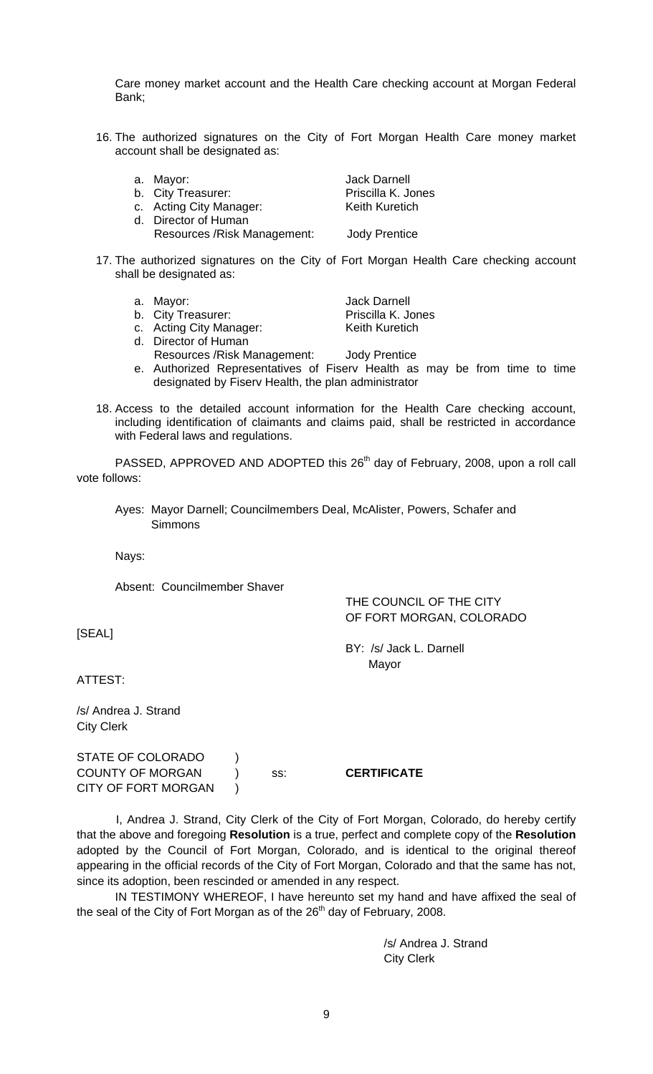Care money market account and the Health Care checking account at Morgan Federal Bank;

- 16. The authorized signatures on the City of Fort Morgan Health Care money market account shall be designated as:
	-
	- b. City Treasurer: Priscilla K. Jones
	- c. Acting City Manager: Keith Kuretich
	- d. Director of Human Resources /Risk Management: Jody Prentice
	- a. Mayor: **Jack Darnell** 
		-
- 17. The authorized signatures on the City of Fort Morgan Health Care checking account shall be designated as:
	- a. Mayor: **Jack Darnell**
	- b. City Treasurer: Priscilla K. Jones
	- c. Acting City Manager: Keith Kuretich
	- d. Director of Human
		- Resources /Risk Management: Jody Prentice
	- e. Authorized Representatives of Fiserv Health as may be from time to time designated by Fiserv Health, the plan administrator
- 18. Access to the detailed account information for the Health Care checking account, including identification of claimants and claims paid, shall be restricted in accordance with Federal laws and regulations.

PASSED, APPROVED AND ADOPTED this 26<sup>th</sup> day of February, 2008, upon a roll call vote follows:

Ayes: Mayor Darnell; Councilmembers Deal, McAlister, Powers, Schafer and **Simmons** 

Nays:

Absent: Councilmember Shaver

 THE COUNCIL OF THE CITY OF FORT MORGAN, COLORADO

BY: /s/ Jack L. Darnell

Mayor

[SEAL]

ATTEST:

/s/ Andrea J. Strand City Clerk

STATE OF COLORADO ) COUNTY OF MORGAN ) ss: **CERTIFICATE** CITY OF FORT MORGAN )

 I, Andrea J. Strand, City Clerk of the City of Fort Morgan, Colorado, do hereby certify that the above and foregoing **Resolution** is a true, perfect and complete copy of the **Resolution** adopted by the Council of Fort Morgan, Colorado, and is identical to the original thereof appearing in the official records of the City of Fort Morgan, Colorado and that the same has not, since its adoption, been rescinded or amended in any respect.

IN TESTIMONY WHEREOF, I have hereunto set my hand and have affixed the seal of the seal of the City of Fort Morgan as of the  $26<sup>th</sup>$  day of February, 2008.

> /s/ Andrea J. Strand City Clerk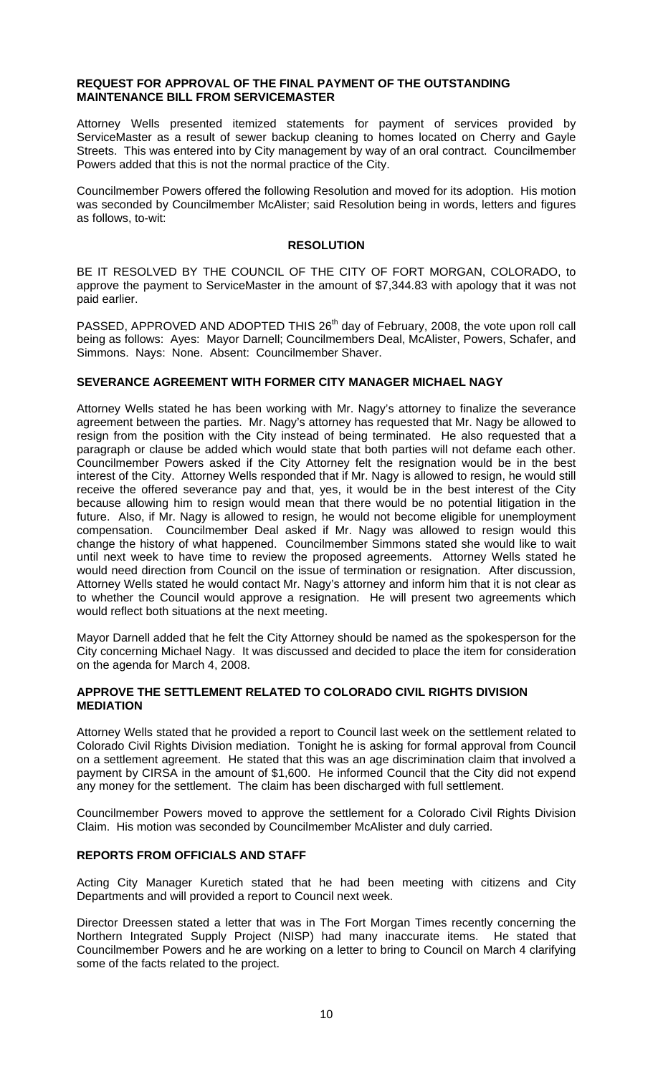### **REQUEST FOR APPROVAL OF THE FINAL PAYMENT OF THE OUTSTANDING MAINTENANCE BILL FROM SERVICEMASTER**

Attorney Wells presented itemized statements for payment of services provided by ServiceMaster as a result of sewer backup cleaning to homes located on Cherry and Gayle Streets. This was entered into by City management by way of an oral contract. Councilmember Powers added that this is not the normal practice of the City.

Councilmember Powers offered the following Resolution and moved for its adoption. His motion was seconded by Councilmember McAlister; said Resolution being in words, letters and figures as follows, to-wit:

### **RESOLUTION**

BE IT RESOLVED BY THE COUNCIL OF THE CITY OF FORT MORGAN, COLORADO, to approve the payment to ServiceMaster in the amount of \$7,344.83 with apology that it was not paid earlier.

PASSED, APPROVED AND ADOPTED THIS 26<sup>th</sup> day of February, 2008, the vote upon roll call being as follows: Ayes: Mayor Darnell; Councilmembers Deal, McAlister, Powers, Schafer, and Simmons. Nays: None. Absent: Councilmember Shaver.

## **SEVERANCE AGREEMENT WITH FORMER CITY MANAGER MICHAEL NAGY**

Attorney Wells stated he has been working with Mr. Nagy's attorney to finalize the severance agreement between the parties. Mr. Nagy's attorney has requested that Mr. Nagy be allowed to resign from the position with the City instead of being terminated. He also requested that a paragraph or clause be added which would state that both parties will not defame each other. Councilmember Powers asked if the City Attorney felt the resignation would be in the best interest of the City. Attorney Wells responded that if Mr. Nagy is allowed to resign, he would still receive the offered severance pay and that, yes, it would be in the best interest of the City because allowing him to resign would mean that there would be no potential litigation in the future. Also, if Mr. Nagy is allowed to resign, he would not become eligible for unemployment compensation. Councilmember Deal asked if Mr. Nagy was allowed to resign would this change the history of what happened. Councilmember Simmons stated she would like to wait until next week to have time to review the proposed agreements. Attorney Wells stated he would need direction from Council on the issue of termination or resignation. After discussion, Attorney Wells stated he would contact Mr. Nagy's attorney and inform him that it is not clear as to whether the Council would approve a resignation. He will present two agreements which would reflect both situations at the next meeting.

Mayor Darnell added that he felt the City Attorney should be named as the spokesperson for the City concerning Michael Nagy. It was discussed and decided to place the item for consideration on the agenda for March 4, 2008.

## **APPROVE THE SETTLEMENT RELATED TO COLORADO CIVIL RIGHTS DIVISION MEDIATION**

Attorney Wells stated that he provided a report to Council last week on the settlement related to Colorado Civil Rights Division mediation. Tonight he is asking for formal approval from Council on a settlement agreement. He stated that this was an age discrimination claim that involved a payment by CIRSA in the amount of \$1,600. He informed Council that the City did not expend any money for the settlement. The claim has been discharged with full settlement.

Councilmember Powers moved to approve the settlement for a Colorado Civil Rights Division Claim. His motion was seconded by Councilmember McAlister and duly carried.

## **REPORTS FROM OFFICIALS AND STAFF**

Acting City Manager Kuretich stated that he had been meeting with citizens and City Departments and will provided a report to Council next week.

Director Dreessen stated a letter that was in The Fort Morgan Times recently concerning the Northern Integrated Supply Project (NISP) had many inaccurate items. He stated that Councilmember Powers and he are working on a letter to bring to Council on March 4 clarifying some of the facts related to the project.